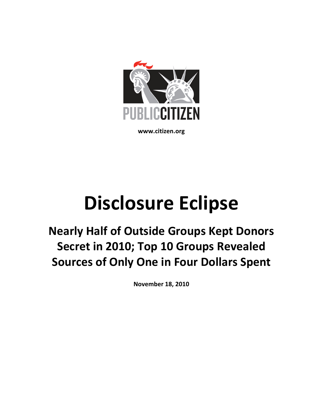

www.citizen.org

# Disclosure Eclipse

Nearly Half of Outside Groups Kept Donors Secret in 2010; Top 10 Groups Revealed Sources of Only One in Four Dollars Spent

November 18, 2010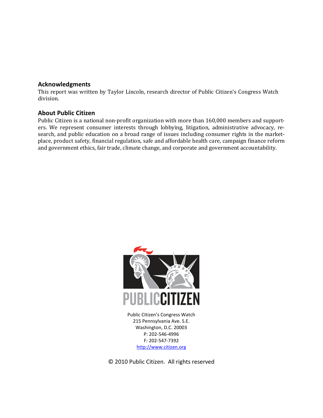# Acknowledgments

This report was written by Taylor Lincoln, research director of Public Citizen's Congress Watch division.

# About Public Citizen

Public Citizen is a national non-profit organization with more than 160,000 members and supporters. We represent consumer interests through lobbying, litigation, administrative advocacy, research, and public education on a broad range of issues including consumer rights in the marketplace, product safety, financial regulation, safe and affordable health care, campaign finance reform and government ethics, fair trade, climate change, and corporate and government accountability.



Public Citizen's Congress Watch 215 Pennsylvania Ave. S.E. Washington, D.C. 20003 P: 202-546-4996 F: 202-547-7392 http://www.citizen.org

© 2010 Public Citizen. All rights reserved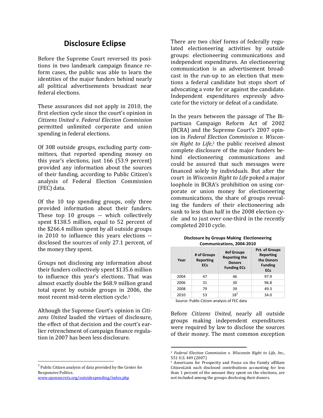# Disclosure Eclipse

Before the Supreme Court reversed its positions in two landmark campaign finance reform cases, the public was able to learn the identities of the major funders behind nearly all political advertisements broadcast near federal elections.

These assurances did not apply in 2010, the first election cycle since the court's opinion in Citizens United v. Federal Election Commission permitted unlimited corporate and union spending in federal elections.

Of 308 outside groups, excluding party committees, that reported spending money on this year's elections, just 166 (53.9 percent) provided any information about the sources of their funding, according to Public Citizen's analysis of Federal Election Commission (FEC) data.

Of the 10 top spending groups, only three provided information about their funders. These top 10 groups -- which collectively spent \$138.5 million, equal to 52 percent of the \$266.4 million spent by all outside groups in 2010 to influence this years elections - disclosed the sources of only 27.1 percent, of the money they spent.

Groups not disclosing any information about their funders collectively spent \$135.6 million to influence this year's elections. That was almost exactly double the \$68.9 million grand total spent by outside groups in 2006, the most recent mid-term election cycle.<sup>1</sup>

Although the Supreme Court's opinion in Citizens United lauded the virtues of disclosure, the effect of that decision and the court's earlier retrenchment of campaign finance regulation in 2007 has been less disclosure.

www.opensecrets.org/outsidespending/index.php

 $\overline{a}$ 

There are two chief forms of federally regulated electioneering activities by outside groups: electioneering communications and independent expenditures. An electioneering communication is an advertisement broadcast in the run-up to an election that mentions a federal candidate but stops short of advocating a vote for or against the candidate. Independent expenditures expressly advocate for the victory or defeat of a candidate.

In the years between the passage of The Bipartisan Campaign Reform Act of 2002 (BCRA) and the Supreme Court's 2007 opinion in Federal Election Commission v. Wisconsin Right to Life,<sup>2</sup> the public received almost complete disclosure of the major funders behind electioneering communications and could be assured that such messages were financed solely by individuals. But after the court in Wisconsin Right to Life poked a major loophole in BCRA's prohibition on using corporate or union money for electioneering communications, the share of groups revealing the funders of their electioneering ads sunk to less than half in the 2008 election cycle and to just over one-third in the recently completed 2010 cycle.

| Year | # of Groups<br><b>Reporting</b><br><b>ECs</b> | #of Groups<br><b>Reporting the</b><br><b>Donors</b><br><b>Funding ECs</b> | <b>Pct. of Groups</b><br>Reporting<br>the Donors<br><b>Funding</b><br><b>ECs</b> |
|------|-----------------------------------------------|---------------------------------------------------------------------------|----------------------------------------------------------------------------------|
| 2004 | 47                                            | 46                                                                        | 97.9                                                                             |
| 2006 | 31                                            | 30                                                                        | 96.8                                                                             |
| 2008 | 79                                            | 39                                                                        | 49.3                                                                             |
| 2010 | 53                                            | $18^3$                                                                    | 34.0                                                                             |

Disclosure by Groups Making Electioneering Communications, 2004-2010

Source: Public Citizen analysis of FEC data

 $\overline{a}$ 

Before Citizens United, nearly all outside groups making independent expenditures were required by law to disclose the sources of their money. The most common exception

<sup>&</sup>lt;sup>1</sup> Public Citizen analysis of data provided by the Center for Responsive Politics.

<sup>2</sup> Federal Election Commission v. Wisconsin Right to Life, Inc., 551 U.S. 449 (2007)

<sup>3</sup> Americans for Prosperity and Focus on the Family affiliate CitizenLink each disclosed contributions accounting for less than 1 percent of the amount they spent on the elections, are not included among the groups disclosing their donors.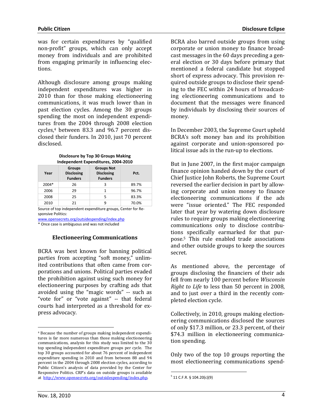was for certain expenditures by "qualified non-profit" groups, which can only accept money from individuals and are prohibited from engaging primarily in influencing elections.

Although disclosure among groups making independent expenditures was higher in 2010 than for those making electioneering communications, it was much lower than in past election cycles. Among the 30 groups spending the most on independent expenditures from the 2004 through 2008 election cycles,4 between 83.3 and 96.7 percent disclosed their funders. In 2010, just 70 percent disclosed.

| Independent Expenditures, 2004-2010 |                                                      |                                                          |       |  |  |  |
|-------------------------------------|------------------------------------------------------|----------------------------------------------------------|-------|--|--|--|
| Year                                | <b>Groups</b><br><b>Disclosing</b><br><b>Funders</b> | <b>Groups Not</b><br><b>Disclosing</b><br><b>Funders</b> | Pct.  |  |  |  |
| 2004*                               | 26                                                   | 3                                                        | 89.7% |  |  |  |
| 2006                                | 29                                                   | 1                                                        | 96.7% |  |  |  |
| 2008                                | 25                                                   | 5                                                        | 83.3% |  |  |  |
| 2010                                | 21                                                   | q                                                        | 70.0% |  |  |  |

#### Disclosure by Top 30 Groups Making Independent Expenditures, 2004-2010

Source of top independent expenditure groups, Center for Responsive Politics:

www.opensecrets.org/outsidespending/index.php

\* Once case is ambiguous and was not included

## Electioneering Communications

BCRA was best known for banning political parties from accepting "soft money," unlimited contributions that often came from corporations and unions. Political parties evaded the prohibition against using such money for electioneering purposes by crafting ads that avoided using the "magic words" -- such as "vote for" or "vote against" -- that federal courts had interpreted as a threshold for express advocacy.

BCRA also barred outside groups from using corporate or union money to finance broadcast messages in the 60 days preceding a general election or 30 days before primary that mentioned a federal candidate but stopped short of express advocacy. This provision required outside groups to disclose their spending to the FEC within 24 hours of broadcasting electioneering communications and to document that the messages were financed by individuals by disclosing their sources of money.

In December 2003, the Supreme Court upheld BCRA's soft money ban and its prohibition against corporate and union-sponsored political issue ads in the run-up to elections.

But in June 2007, in the first major campaign finance opinion handed down by the court of Chief Justice John Roberts, the Supreme Court reversed the earlier decision in part by allowing corporate and union money to finance electioneering communications if the ads were "issue oriented." The FEC responded later that year by watering down disclosure rules to require groups making electioneering communications only to disclose contributions specifically earmarked for that purpose.<sup>5</sup> This rule enabled trade associations and other outside groups to keep the sources secret.

As mentioned above, the percentage of groups disclosing the financiers of their ads fell from nearly 100 percent before Wisconsin Right to Life to less than 50 percent in 2008, and to just over a third in the recently completed election cycle.

Collectively, in 2010, groups making electioneering communications disclosed the sources of only \$17.3 million, or 23.3 percent, of their \$74.3 million in electioneering communication spending.

Only two of the top 10 groups reporting the most electioneering communications spend-

 $\overline{a}$ 

 $\overline{a}$ 

<sup>4</sup> Because the number of groups making independent expenditures is far more numerous than those making electioneering communications, analysis for this study was limited to the 30 top spending independent expenditure groups per cycle. The top 30 groups accounted for about 76 percent of independent expenditure spending in 2010 and from between 88 and 94 percent in the 2004 through 2008 election cycles, according to Public Citizen's analysis of data provided by the Center for Responsive Politics. CRP's data on outside groups is available at http://www.opensecrets.org/outsidespending/index.php.

 $5$  11 C.F.R. § 104.20(c)(9)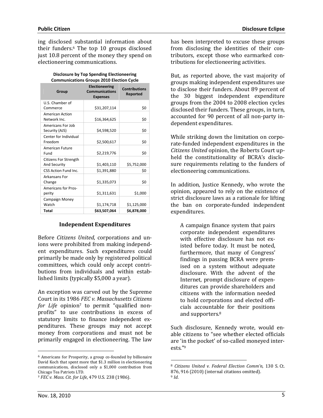ing disclosed substantial information about their funders.6 The top 10 groups disclosed just 10.8 percent of the money they spend on electioneering communications.

| Disclosure by Top Spending Electioneering        |
|--------------------------------------------------|
| <b>Communications Groups 2010 Election Cycle</b> |

| Group                                        | <b>Electioneering</b><br><b>Communications</b><br><b>Expenses</b> | <b>Contributions</b><br>Reported |
|----------------------------------------------|-------------------------------------------------------------------|----------------------------------|
| U.S. Chamber of                              |                                                                   |                                  |
| Commerce                                     | \$31,207,114                                                      | \$0                              |
| <b>American Action</b>                       |                                                                   |                                  |
| Network Inc.                                 | \$16,364,625                                                      | \$0                              |
| Americans For Job<br>Security (AJS)          | \$4,598,520                                                       | \$0                              |
| Center for Individual<br>Freedom             | \$2,500,617                                                       | \$0                              |
| American Future<br>Fund                      | \$2,219,776                                                       | \$0                              |
| Citizens For Strength<br><b>And Security</b> | \$1,403,110                                                       | \$5,752,000                      |
| CSS Action Fund Inc.                         | \$1,391,880                                                       | \$0                              |
| Arkansans For<br>Change                      | \$1,335,073                                                       | \$0                              |
| <b>Americans for Pros-</b><br>perity         | \$1,311,631                                                       | \$1,000                          |
| Campaign Money<br>Watch                      | \$1,174,718                                                       | \$1,125,000                      |
| <b>Total</b>                                 | \$63,507,064                                                      | \$6,878,000                      |

### Independent Expenditures

Before Citizens United, corporations and unions were prohibited from making independent expenditures. Such expenditures could primarily be made only by registered political committees, which could only accept contributions from individuals and within established limits (typically \$5,000 a year).

An exception was carved out by the Supreme Court in its 1986 FEC v. Massachusetts Citizens for Life opinion<sup>7</sup> to permit "qualified nonprofits" to use contributions in excess of statutory limits to finance independent expenditures. These groups may not accept money from corporations and must not be primarily engaged in electioneering. The law

has been interpreted to excuse these groups from disclosing the identities of their contributors, except those who earmarked contributions for electioneering activities.

But, as reported above, the vast majority of groups making independent expenditures use to disclose their funders. About 89 percent of the 30 biggest independent expenditure groups from the 2004 to 2008 election cycles disclosed their funders. These groups, in turn, accounted for 90 percent of all non-party independent expenditures.

While striking down the limitation on corporate-funded independent expenditures in the Citizens United opinion, the Roberts Court upheld the constitutionality of BCRA's disclosure requirements relating to the funders of electioneering communications.

In addition, Justice Kennedy, who wrote the opinion, appeared to rely on the existence of strict disclosure laws as a rationale for lifting the ban on corporate-funded independent expenditures.

A campaign finance system that pairs corporate independent expenditures with effective disclosure has not existed before today. It must be noted, furthermore, that many of Congress' findings in passing BCRA were premised on a system without adequate disclosure. With the advent of the Internet, prompt disclosure of expenditures can provide shareholders and citizens with the information needed to hold corporations and elected officials accountable for their positions and supporters.<sup>8</sup>

Such disclosure, Kennedy wrote, would enable citizens to "see whether elected officials are 'in the pocket' of so-called moneyed interests."<sup>9</sup>

 $\overline{a}$ 

 $\overline{a}$ 

<sup>6</sup> Americans for Prosperity, a group co-founded by billionaire David Koch that spent more that \$1.3 million in electioneering communications, disclosed only a \$1,000 contribution from Chicago Tea Patriots LTD.

<sup>7</sup> FEC v. Mass. Cit. for Life, 479 U.S. 238 (1986).

<sup>8</sup> Citizens United v. Federal Election Comm'n, 130 S. Ct. 876, 916 (2010) (internal citations omitted). <sup>9</sup> Id.